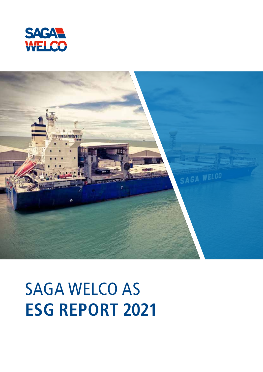



### SAGA WELCO AS **ESG REPORT 2021**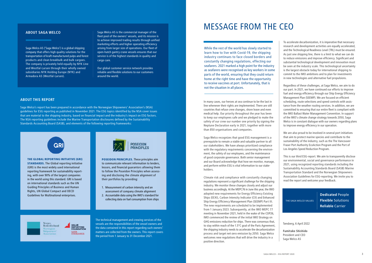Saga Welco AS ('Saga Welco') is a global shipping company that offers high quality solutions for the transportation of kraft manufactured pulps and forest products and clean breakbulk and bulk cargoes. The company is privately held equally by NYK Line and Westfal-Larsen through their wholly owned subsidiaries NYK Holding Europe (NYK) and Armadora AS (Westfal-Larsen).

Saga Welco's report has been prepared in accordance with the Norwegian Shipowners' Association's (NSA) guidelines for ESG reporting as published in November 2021. The ESG topics identified by the NSA cover issues that are material to the shipping industry, based on financial impact and the industry's impact on ESG factors. The NSA reporting guidelines include the Marine Transportation disclosures defined by the Sustainability Standards Accounting Board (SASB), and elements of the following reporting frameworks:

#### **ABOUT THIS REPORT**

The technical management and crewing services of the vessels are the responsibilities of the vessel owners and the data contained in this report regarding such owners' matters are collected from the owners. This report covers the period from 1 January to 31 December 2021.

In many cases, our heroes at sea continue to be the last in line whenever their rights are implemented. There are still countries that refuse crew changes, shore leave and even medical help. Our priority throughout the year has been to keep our employees safe and we pledged to make the safety of our crew our number one priority by signing the Neptune Declaration early in 2021, together with more than 850 organisations and companies.

Saga Welco recognizes that good ESG management is a prerequisite to remain a viable and valuable partner to all our stakeholders. We have always prioritized compliance with the regulatory requirements concerning the environment, the safety of our employees, and the maintenance of good corporate governance. Both senior management and our Board acknowledge that how we monitor, manage, and perform within ESG is vital information to our stakeholders.

Climate risk and compliance with constantly changing regulations represent a significant challenge for the shipping industry. We monitor these changes closely and adjust our business accordingly. At the MEPC76 in June this year, the IMO adopted new requirements for Energy Efficiency Existing Ships (EEXI), Carbon Intensity Indicator (CII) and Enhanced Ship Energy Efficiency Management Plan (SEEMP) Part III. The new requirements are scheduled to be implemented from 1 January 2023. Subsequently, at the IMO MEPC 77 meeting in November 2021, held in the wake of the COP26, IMO commenced the review of the initial IMO Strategy on GHG emissions reduction for ships. There was consensus that, to stay within reach of the 1.5°C goal of the Paris Agreement, the shipping industry needs to accelerate the decarbonization process and target net-zero emission by 2050. Saga Welco welcomes new regulations that will drive the industry in a positive direction.

To accelerate decarbonization, it is imperative that necessary research and development activities are equally accelerated, and the Technological Readiness Level (TRL) must be ensured. As just one shipping line, there is a limit to what we can do to reduce emissions and improve efficiency. Significant and substantial technological development and innovation must be seen at the industry scale. This technological uncertainty is the largest obstacle today for international shipping to commit to the IMO ambitions and to plan for investments in new technologies and alternative fuel propulsions.

Regardless of these challenges, at Saga Welco, we aim to do our part. In 2021, we have continued our efforts to improve fuel and energy efficiency through our Ship Energy Efficiency Management Plan (SEEMP). We are focused on efficient scheduling, route selections and speed controls with assistance from the weather routing services. In addition, we are committed to ensuring that our entire fleet is compliant with the IMO Ballast Water Management Convention. In support of the IMO's climate change strategy towards 2050, Saga Welco is in constant dialogue with our owners regarding plans to improve energy efficiency in our operation.

We are also proud to be involved in several port initiatives that aim to protect marine species and contribute to the sustainability of the industry, such as the The Vancouver Fraser Port Authority EcoAction Program and the Port of Los Angeles Speed Reduction Program.

This is our third ESG-report. We aim to transparently disclose our environmental, social and governance performance in 2021, using recognized reporting standards including the Sustainability Accounting Standards Board (SASB) Marine Transportation Standard and the Norwegian Shipowners Association Guidelines for ESG-reporting. We invite you to read the report and welcome your feedback.

Tønsberg, 6 April 2022

**Fumitake Shishido** President and CEO Saga Welco AS

#### **ABOUT SAGA WELCO**

### MESSAGE FROM THE CEO

While the rest of the world has slowly started to learn how to live with Covid-19, the shipping industry continues to face closed borders and constantly changing regulations, effecting our seafarers. 2021 marked a high point for the industry as seafarers were recognised as key workers in some parts of the world, ensuring that they could return home at the right time and have the opportunity to receive vaccines at port. Unfortunately, that is not the situation in all places.

Saga Welco AS is the commercial manager of the fleet pool of the owners' vessels, and its mission is to achieve improved trading results through unified marketing efforts and higher operating efficiency arising from larger size of operations. Our fleet of open-hatch gantry crane vessels ensures that our service is of the highest standards in quality and cargo care.

Our global customer service network provides reliable and flexible solutions to our customers around the world.



#### Norges<br>Rederiforbund Norwegian Shipowners' Association



**Dedicated** People **Flexible** Solutions **Reliable** Carrier

THE SAGA WELCO VALUES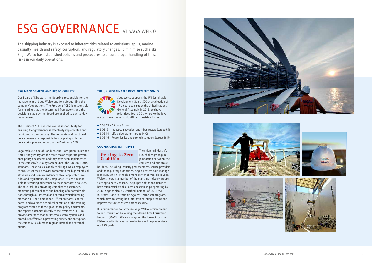#### **ESG MANAGEMENT AND RESPONSIBILITY**

Our Board of Directors (the Board) is responsible for the management of Saga Welco and for safeguarding the company's operations. The President / CEO is responsible for ensuring that the determined frameworks and the decisions made by the Board are applied to day-to-day management.

The President / CEO has the overall responsibility for ensuring that governance is effectively implemented and monitored in the company. The corporate and functional policy owners are responsible for complying with the policy principles and report to the President / CEO.

Saga Welco's Code of Conduct, Anti-Corruption Policy and Anti-Bribery Policy are the three major corporate govern ance policy documents and they have been implemented in the company's Quality System under the ISO 9001-2015 standard. These policies apply to all Saga Welco employees to ensure that their behavior conforms to the highest ethical standards and is in accordance with all applicable laws, rules and regulations. The Compliance Officer is respon sible for ensuring adherence to these corporate policies. The role includes providing compliance assistance, monitoring of compliance and handling of reported viola tions through our internal and external whistleblowing mechanism. The Compliance Officer prepares, coordi nates, and oversees periodical execution of the training program related to those governance policy documents, and reports outcomes directly to the President / CEO. To provide assurance that our internal control systems and procedures effective in preventing bribery and corruption, the company is subject to regular internal and external audits.

#### **THE UN SUSTAINABLE DEVELOPMENT GOALS**



Saga Welco supports the UN Sustainable Development Goals (SDGs), a collection of 17 global goals set by the United Nations General Assembly in 2015. We have prioritized four SDGs where we believe we can have the most significant positive impact.

- SDG 13 Climate Action
- SDG 9 Industry, Innovation, and Infrastructure (target 9.4)
- SDG 14 Life below water (target 14.C)
- SDG 16 Peace, justice and strong institutions (target 16.5)

#### **COOPERATION INITIATIVES**

### Getting to Zero Coalition

The shipping industry's ESG challenges require joint action between the carriers and our stake -

holders, including industry peer members, service providers and the regulatory authorities. Anglo-Eastern Ship Manage ment Ltd, which is the ship manager for 35 vessels in Saga Welco's fleet, is a member of the maritime industry group's Getting to Zero Coalition. The purpose of the coalition is to have commercially viable, zero emission ships operating by 2030. Saga Welco is a certified member of US CTPAT (Customs Trade Partnership Against Terrorism) program, which aims to strengthen international supply chains and improve the United States border security.

It is our intention to formalize Saga Welco's commitment to anti-corruption by joining the Marine Anti-Corruption Network (MACN). We are always on the lookout for other ESG-related initiatives that we believe will help us achieve our ESG goals.







## ESG GOVERNANCE AT SAGA WELCO

The shipping industry is exposed to inherent risks related to emissions, spills, marine casualty, health and safety, corruption, and regulatory changes. To minimize such risks, Saga Welco has established policies and procedures to ensure proper handling of these risks in our daily operations.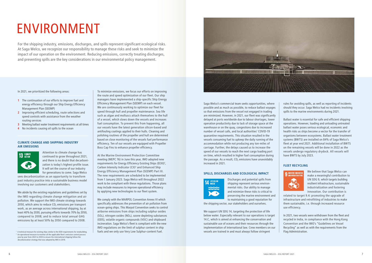Saga Welco's commercial team seeks opportunities, where possible and as much as possible, to reduce ballast voyages so that emissions from the vessel not engaged in trading are minimized. However, in 2021, our fleet was significantly delayed at ports worldwide due to labour shortages, lower operation productivity due to lack of storage space at the warehouse or on the quay, congestions due to increased number of vessel calls, and local authorities' COVID-19 quarantine requirements. This situation resulted in the vessels consuming fuel to upkeep the daily running of the accommodation while not producing any ton-miles of carriage. Further, the delays caused us to increase the speed of our vessels to reach the next cargo loading port on time, which resulted in higher fuel consumption during the passage. As a result,  $CO<sub>2</sub>$  emissions have unavoidably increased in 2021.

- **1** The continuation of our efforts to improve fuel and energy efficiency through our Ship Energy Efficiency Management Plan (SEEMP)
- **2** Improving efficient scheduling, route selections and speed controls with assistance from the weather routing services
- **3** Meeting ballast water treatment requirements at all times
- **4** No incidents causing oil spills to the ocean

#### **SPILLS, DISCHARGES AND ECOLOGICAL IMPACT**



Discharges and potential spills from shipping represent serious environmental risks. Our ability to manage and minimize these risks is critical to preserving the marine environment and to maintaining a good reputation for

the shipping sector, our stakeholders and ourselves.

We support UN SDG 14, targeting the protection of life below water. Especially relevant to our operations is target 14.C, which is aimed at enhancing the conservation and sustainable use of oceans and their resources through the implementation of international law. Crew members on our vessels are trained in and must always follow stringent

In 2021, we prioritized the following areas:

#### **CLIMATE CHANGE AND SHIPPING INDUSTRY AIR EMISSIONS**



Attention to climate change has continued to grow throughout 2021, and there is no doubt that decarbonization is today's highest profile issue. It will set the course of our industry for generations to come. Saga Welco

sees decarbonization as an opportunity to transform past industry practice into a sustainable business model involving our customers and stakeholders.

We abide by the existing regulations and guidelines set by the IMO regarding climate change mitigation and air pollution. We support the IMO climate strategy towards 2050, which aims to reduce  $CO<sub>2</sub>$  emissions per transport work, as an average across international shipping, by at least 40% by 2030, pursuing efforts towards 70% by 2050, compared to 2008; and to reduce total annual GHG emissions by at least 50% by 2050 compared to 2008.

rules for avoiding spills, as well as reporting of incidents should they occur. Saga Welco had no incidents involving spills to the marine environments during 2021.

Ballast water is essential for safe and efficient shipping operations. However, loading and unloading untreated ballast water poses serious ecological, economic and health risks as ships become a vector for the transfer of organisms between ecosystems. Ballast water treatment systems (BWTS) are installed on 84% of Saga Welco's fleet at year end 2021. Additional installation of BWTS on the remaining vessels will be done in 2022 as the vessels undergo regulatory drydock. All vessels will have BWTS by July 2023.

#### **FLEET RECYCLING**



We believe that Saga Welco can make a meaningful contribution to UN SDG 9, which targets building resilient infrastructure, sustainable industrialization and fostering innovation. Our contribution is

related to target 9.4: promoting the upgrade of infrastructure and retrofitting of industries to make them sustainable, i.e. through increased resource use efficiency.

In 2021, two vessels were withdrawn from the fleet and recycled in India, in compliance with the Hong Kong Convention and the IMO's "Guidelines on Vessel Recycling" as well as with the requirements from the Flag Administration.

To minimize emissions, we focus our efforts on improving the route and speed optimization of our fleet. Our ship managers have implemented a ship-specific Ship Energy Efficiency Management Plan (SEEMP) on each vessel. We are continuously working to optimize our fleet for speed through hull and propeller maintenance. Sea life such as algae and molluscs attach themselves to the hull of a vessel, which slows down the vessels and increases fuel consumption. To prevent this from happening, all our vessels have the latest generation silicon-based and antifouling coatings applied to their hulls. Cleaning and polishing routines of the propeller and hull are determined based on close monitoring of the vessels fuel performance efficiency. Ten of our vessels are equipped with Propeller Boss Cap Fins to enhance propeller efficiency.

At the Marine Environment Protection Committee meeting (MEPC 76) in June this year, IMO adopted new requirements for Energy Efficiency Existing Ships (EEXI)1 , Carbon Intensity Indicator (CII)<sup>2</sup> and Enhanced Ship Energy Efficiency Management Plan (SEEMP) Part III. The new requirements are scheduled to be implemented from 1 January 2023. Saga Welco will throughout 2022 work to be compliant with these regulations. Those plans may include measures to improve operational efficiency by applying new technologies to our fleet system.

We comply with the MARPOL Convention Annex VI which specifically addresses the prevention of air pollution from ocean-going ships. This Marpol Convention seeks to control airborne emissions from ships including sulphur oxides  $(SO_x)$ , nitrogen oxides (NO<sub>x</sub>), ozone depleting substances (ODS), volatile organic compounds (VOC) and shipboard incineration. Saga Welco's fleet is compliant with the new IMO regulations on the limit of sulphur content in ship fuels and we only use Very Low Sulphur-content Fuel.



# ENVIRONMENT

For the shipping industry, emissions, discharges, and spills represent significant ecological risks. At Saga Welco, we recognize our responsibility to manage these risks and seek to minimize the impact of our operation on the environment. Reducing emissions, correctly treating discharges, and preventing spills are the key considerations in our environmental policy management.

<sup>&</sup>lt;sup>1</sup> A technical measure for existing ships similar to the EEDI requirements for newbuilding. <sup>2</sup> An operational measure to monitor all the applicable fleet's emission control process year by year from 2023 to 2030 to ensure the international shipping follow the decarbonization strategy that was adopted by IMO in 2018.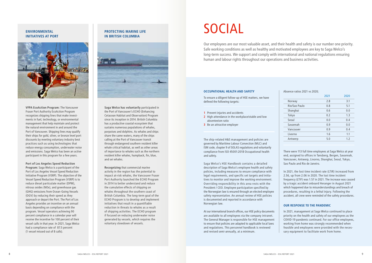**VFPA EcoAction Program:** The Vancouver Fraser Port Authority EcoAction Program recognizes shipping lines that make investments in fuel, technology, or environmental management that help maintain and protect the natural environment in and around the Port of Vancouver. Shipping lines may qualify their ships for gold, silver, or bronze level port discounts by meeting voluntary industry best practices such as using technologies that reduce energy consumption, underwater noise and emissions. Saga Welco has been an active participant in this program for a few years.

**Port of Los Angeles Speed Reduction Program:** Saga Welco is a participant of the Port of Los Angeles Vessel Speed Reduction Initiative Program (VSRP). The objective of the Vessel Speed Reduction Program (VSRP) is to reduce diesel particulate matter (DPM), nitrous oxides (NOx), and greenhouse gas (GHG) emissions from Ocean-Going Vessels (OGV) by reducing their speed as they approach or depart the Port. The Port of Los Angeles provides an incentive on an annual basis depending on compliance with the program. Vessel operators achieving 90 percent compliance in a calendar year will receive the incentive for 100 percent of their vessel calls in that year. In 2021, Saga Welco had a compliance rate of 87.5 percent (1 vessel missed out of 8 calls).

#### **ENVIRONMENTAL INITIATIVES AT PORT**



**Saga Welco has voluntarily** participated in the Port of Vancouver's ECHO (Enhancing Cetacean Habitat and Observation) Program since its inception in 2014. British Columbia has a productive coastal ecosystem that sustains numerous populations of whales, porpoises and dolphins. As whales and ships share the same waters, many of the ships calling at the Port of Vancouver transit through endangered southern resident killer whale critical habitat, as well as other areas of importance to whales such as the northern resident killer whales, humpback, fin, blue, and sei whales.

**Recognizing** that commercial marine activity in the region has the potential to impact at-risk whales, the Vancouver Fraser Port Authority launched the ECHO Program in 2014 to better understand and reduce the cumulative effects of shipping on whales throughout the southern coast of British Columbia. The long-term goal of the ECHO Program is to develop and implement initiatives that result in a quantifiable reduction in threats to whales as a result of shipping activities. The ECHO program if focused on reducing underwater noise generated by vessels, which requires the voluntary slowdown of vessels.

#### **PROTECTING MARINE LIFE IN BRITISH COLUMBIA**



#### **OCCUPATIONAL HEALTH AND SAFETY**

To ensure a diligent follow-up of HSE matters, we have defined the following targets:

- **1** Prevent injuries and accidents
- **2** High attendance in the workplace/stable and low absenteeism ratio
- **3** Be an attractive employer

The ship-related H&S management and policies are governed by Maritime Labour Convection (MLC) and ISM code, chapter 9 of SOLAS regulations and voluntarily compliance from ISO 45001:2018 Occupational health and safety.

Saga Welco's HSE Handbook contains a detailed description of Saga Welco's employee health and safety policies, including measures to ensure compliance with legal requirements, and specific set targets and initiatives to monitor and improve the working environment. Overriding responsibility in this area rests with the President / CEO. Employee participation specified by the Norwegian law is ensured through an elected employee safety representative. An annual review of HSE policies is documented and reported in accordance with Norwegian law.

At our international branch offices, our HSE policy documents are available to all employees via the company intranet. The General Manager is responsible for HSE management to ensure that policies are adapted to applicable local laws and regulations. This personnel handbook is reviewed and revised semi-annually, at a minimum.

Our employees are our most valuable asset, and their health and safety is our number one priority. Safe working conditions as well as healthy and motivated employees are key to Saga Welco's long-term success. We support and comply with international and national regulations ensuring human and labour rights throughout our operations and business activities.

> There were 113 full time employees at Saga Welco at year end, assigned to offices in Tønsberg, Bergen, Savannah, Vancouver, Antwerp, Livorno, Shanghai, Seoul, Tokyo, Sao Paulo and Rio de Janeiro.

In 2021, the lost time incident rate (LTIR) increased from 2.56, up from 2.06 in 2020. The lost time incident frequency (LTIF) was 1.57 in 2021. The increase was caused by a tragic accident onboard Heranger in August 2021 which happened due to misunderstandings and breach of procedures, resulting in a lethal injury. Following the accident, all crew were reminded of the safety procedures.

#### **OUR RESPONSE TO THE PANDEMIC**

In 2021, management at Saga Welco continued to place priority on the health and safety of our employees as the COVID-19 pandemic continued. For our office employees, working from home was strongly recommended when feasible and employees were provided with the necessary equipment to facilitate work from home.

|               | 2021 | 2020 |
|---------------|------|------|
| Norway        | 2.8  | 3.1  |
| Rio/Sao Paulo | 0.8  | 5.1  |
| Shanghai      | 0.6  | 0.0  |
| Tokyo         | 0.2  | 1.3  |
| Seoul         | 0.0  | 0.4  |
| Savannah      | 0.9  | 0.0  |
| Vancouver     | 0.9  | 0.4  |
| Livorno       | 1.6  | 1.1  |
| Antwerp       | 5.0  | 1.2  |
|               |      |      |

Absence ratios 2021 vs 2020;

## SOCIAL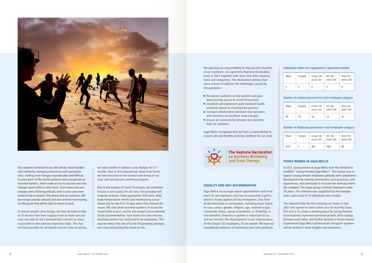

Our seafarers continued to be affected by closed borders and constantly changing restrictions and quarantine rules, making crew changes unpredictable and difficult. In some parts of the world seafarers were recognised as essential workers, which made access to vaccines and crew changes easier while in other ports, shore leave and crew changes were still being refused, and in some cases even medical help is refused. This means that our seafarers still face longer periods onboard, but also at home not knowing at what point they will be able to return to work.

To ensure smooth crew change, we have deviated a total of 15 vessels from their original route to make sure our crew was able to start and end their contract as close as possible to the contract expiration date. This has not been possible for all vessels and on a few occasions,

#### Individuals within the organization's governance bodies

| Male | Female | Under 30<br>years old | $30 - 50$<br>years old | Over 50<br>years old |
|------|--------|-----------------------|------------------------|----------------------|
|      |        |                       |                        | b                    |

#### Number of onshore personnel in each employee category

| Male | Female | Under 30<br>years old | $30 - 50$<br>years old | Over 50<br>years old |
|------|--------|-----------------------|------------------------|----------------------|
| 85   | 35     | 16                    | 53                     | 51                   |

#### Number of shipboard personnel in each employee category

| Male | Female | Under 30<br>years old | $30 - 50$<br>years old | Over 50<br>years old |
|------|--------|-----------------------|------------------------|----------------------|
| 934  |        | 301                   | 560                    | 80                   |

- Recognise seafarers as key workers and give them priority access to Covid-19 vaccines
- **Establish and implement gold standard health** protocols based on existing best practice
- **Increase collaboration between ship operators** and charterers to facilitate crew changes
- $\blacksquare$  Ensure air connectivity between key maritime hubs for seafarers.

we were unable to conduct crew changes for 5-7 months. Due to the long periods away from home, we have focused on the mental well-being of our crew and introduced a wellness program.

Due to the number of Covid-19 variants, we continued to have a strict policy for all crew. This included selfisolation at home, hotel quarantine, PCR tests, daily body temperature checks and maintaining social distancing for the first 14 days when they embark the vessel. We only allow essential workers on board the vessel while in port, and no one except crew is allowed inside accommodation. Face masks for crew and any essential workers has continued to be mandatory. This way we reduce the risk of Covid-19 spreading amongst our crew and putting the vessel at risk.

The network held the first meeting on Teams in late 2021 and agreed to meet online on a bi-monthly basis. The aim is to create a meeting place for young females to be inspired, experience personal growth, drive change between each other, and further develop in-house talents. Experienced Saga Welco professionals and guest speakers will be invited to share insights and experience.

Recognising our responsibility to improve the situation of our seafarers, we signed the Neptune Declaration early in 2021 together with more than 850 organisations and companies. The declaration defines four main actions to address the challenges caused by the pandemic:

Saga Welco recognizes that we have a responsibility to ensure safe and healthy working condition for our crew.



**The Neptune Declaration** on Seafarer Wellbeing and Crew Change

#### **EQUALITY AND ANTI-DISCRIMINATION**

Saga Welco encourages equal opportunities and treatment for all employees and has incorporated a policy which is firmly against all discriminations. Any form of discrimination or harassment, including those based on race, colour, gender, religion, age, national origin, citizenship status, sexual orientation, or disability, is not tolerated. Diversity in gender is important to us, and we monitor the development in our organisation. Of the Group's 122 employees, 37 are women. We have not recorded any instances of involuntary part-time positions.

#### **YOUNG WOMEN IN SAGA WELCO**

In 2021, young women at Saga Welco took the initiative to establish "Young Females Saga Welco". The mission was to support young females employees globally with competence development by sharing information, best practices, and experiences, and eventually to increase the diversity within the company. The target group is female employees under 35 years. The initiative was supported by the management, and a total of 13 individuals were invited.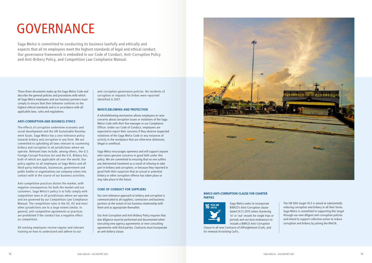These three documents make up the Saga Welco Code and describe the general policies and procedures with which all Saga Welco employees and our business partners must comply to ensure that their behavior conforms to the highest ethical standards and is in accordance with all applicable laws, rules and regulations.

#### **ANTI-CORRUPTION AND BUSINESS ETHICS**

The effects of corruption undermine economic and social development and the UN Sustainable Development Goals. Saga Welco has a zero-tolerance policy towards bribery and corruption in any form. We are committed to upholding all laws relevant to countering bribery and corruption in all jurisdictions where we operate. Relevant laws include, among others, the U.S. Foreign Corrupt Practices Act and the U.K. Bribery Act, both of which are applicable all over the world. Our policy applies to all employees at Saga Welco and all third-party individuals, businesses, government and public bodies or organizations our company comes into contact with in the course of our business activities.

Anti-competitive practices distort the market, with negative consequences for both the market and our customers. Saga Welco's policy is to fully comply with competition laws in all jurisdictions where we operate and are governed by our Competition Law Compliance Manual. The competition rules in the US, EU and most other jurisdictions are to a large extent similar. In general, anti-competitive agreements or practices are prohibited if the conduct has a negative effect on competition.

All existing employees receive regular and relevant training on how to understand and adhere to our

#### **BIMCO ANTI-CORRUPTION CLAUSE FOR CHARTER PARTIES**



Saga Welco seeks to incorporate BIMCO's Anti-Corruption clause dated 24.11.2015 when chartering 'in' or 'out' vessels for single trips or periods and use best endeavours to include a BIMCO Anti-Corruption

Clause in all new Contracts of Affreightment (CoA), and for renewal of existing CoA's.

anti-corruption governance policies. No incidents of corruption or requests for bribes were reported/ identified in 2021.

#### **WHISTLEBLOWING AND PROTECTION**

A whistleblowing mechanism allows employees to raise concerns about corruption issues or violations of the Saga Welco Code with their line manager or our Compliance Officer. Under our Code of Conduct, employees are expected to report their concerns if they observe suspected violations of the Saga Welco Code or any instances of activity in the workplace that are otherwise dishonest, illegal or unethical.

Saga Welco encourages openness and will support anyone who raises genuine concerns in good faith under this policy. We are committed to ensuring that no one suffers any detrimental treatment as a result of refusing to take part in bribery and corruption, or because they reported in good faith their suspicion that an actual or potential bribery or other corruption offence has taken place or may take place in the future.

#### **CODE OF CONDUCT FOR SUPPLIERS**

Our zero-tolerance approach to bribery and corruption is communicated to all suppliers, contractors and business partners at the outset of our business relationship with them and as appropriate thereafter.

Our Anti-Corruption and Anti-Bribery Policy requires that due diligence must be performed and documented when executing new agency agreements or new consulting agreements with third parties. Contracts must incorporate an anti-bribery clause.



The UN SDG target 16.5 is aimed at substantially reducing corruption and bribery in all their forms. Saga Welco is committed to supporting this target through our own diligent anti-corruption policies and intend to support collective action to reduce corruption and bribery by joining the MACN.

# GOVERNANCE

Saga Welco is committed to conducting its business lawfully and ethically and expects that all its employees meet the highest standards of legal and ethical conduct. Our governance framework is embodied in our Code of Conduct, Anti-Corruption Policy and Anti-Bribery Policy, and Competition Law Compliance Manual.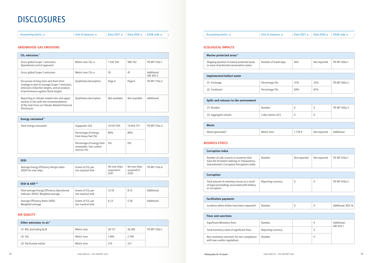#### **GREENHOUSE GAS EMISSIONS**

| $CO2$ emissions <sup>1</sup>                                                                                                                                                    |                         |               |               |                         |
|---------------------------------------------------------------------------------------------------------------------------------------------------------------------------------|-------------------------|---------------|---------------|-------------------------|
| Gross global Scope 1 emissions:<br>Operational control approach                                                                                                                 | Metric tons $CO2$ -e    | 1 042 542     | 980 762       | TR-MT-110a.1            |
| Gross global Scope 2 emissions                                                                                                                                                  | Metric tons $CO2$ -e    | 35            | 41            | Additional<br>GRI 305-2 |
| Discussion of long-term and short-term<br>strategy or plan to manage Scope 1 emissions,<br>emissions reduction targets, and an analysis<br>of performance against those targets | Qualitative description | Page 4        | Page 6        | TR-MT-110a.2            |
| Reporting on climate related risks and oppor-<br>tunities in line with the recommendations<br>of the Task Force on Climate-Related Financial<br><b>Disclosures</b>              | Qualitative description | Not available | Not available | Additional              |

| Energy consumed <sup>2</sup> |                                                                        |            |            |              |
|------------------------------|------------------------------------------------------------------------|------------|------------|--------------|
| Total energy consumed        | Gigajoules (GJ)                                                        | 14 507 055 | 13 644 731 | TR-MT-110a.3 |
|                              | Percentage of energy<br>from heavy fuel (%)                            | 89%        | 89%        |              |
|                              | Percentage of energy from<br>renewable / low-carbon<br>sources $(\% )$ | $0\%$      | $0\%$      |              |

| <b>EEDI</b>                                                    |                                         |                                     |                                     |              |
|----------------------------------------------------------------|-----------------------------------------|-------------------------------------|-------------------------------------|--------------|
| Average Energy Efficiency Design Index<br>(EEDI) for new ships | Grams of $CO2$ per<br>ton-nautical mile | No new ships<br>acquired in<br>2021 | No new ships<br>acquired in<br>2020 | TR-MT-110a.4 |

| EEOI & AER $3,4$                                                                  |                                                   |       |      |            |
|-----------------------------------------------------------------------------------|---------------------------------------------------|-------|------|------------|
| Fleet average Energy Efficiency Operational<br>Indicator (EEOI): Weighted average | Grams of $CO2$ per<br>ton-nautical mile           | 12.18 | 8.13 | Additional |
| Average Efficiency Ratio (AER):<br>Weighted average                               | Grams of CO <sub>2</sub> per<br>ton-nautical mile | 6.23  | 5.58 | Additional |

#### **AIR QUALITY**

| Other emissions to air <sup>5</sup> |             |        |         |              |
|-------------------------------------|-------------|--------|---------|--------------|
| (1) $NOx$ (excluding $N2O$ )        | Metric tons | 28 127 | 26 280  | TR-MT-120a.1 |
| $(2)$ SO <sub>x</sub>               | Metric tons | 2965   | 2 7 9 4 |              |
| (3) Particulate matter              | Metric tons | 210    | 221     |              |

### DISCLOSURES

Accounting metric  $\bullet$  Accounting metric  $\bullet$  Accounting metric  $\bullet$  Data 2021  $\bullet$  Data 2021  $\bullet$  SASB code  $\bullet$  Accounting metric  $\bullet$  Accounting metric  $\bullet$  Accounting metric  $\bullet$  Data 2021  $\bullet$  Data 2021  $\bullet$  SASB code

#### **ECOLOGICAL IMPACTS**

| Marine protected areas <sup>6</sup>                                                      |                       |     |              |              |
|------------------------------------------------------------------------------------------|-----------------------|-----|--------------|--------------|
| Shipping duration in marine protected areas<br>or areas of protected conservation status | Number of travel days | 464 | Not reported | TR-MT-160a.1 |
|                                                                                          |                       |     |              |              |

| Implemented ballast water |                |     |     |              |
|---------------------------|----------------|-----|-----|--------------|
| (1) Exchange              | Percentage (%) | 31% | 33% | TR-MT-160a.2 |
| (2) Treatment             | Percentage (%) | 84% | 81% |              |

| Spills and releases to the environment |                     |  |  |              |
|----------------------------------------|---------------------|--|--|--------------|
| (1) Number                             | Number              |  |  | TR-MT-160a.3 |
| (2) Aggregate volume                   | Cubic metres $(m3)$ |  |  |              |

| Waste                        |             |       |              |            |
|------------------------------|-------------|-------|--------------|------------|
| Waste generated <sup>3</sup> | Metric tons | 179.9 | Not reported | Additional |

#### **BUSINESS ETHICS**

| <b>Corruption index</b>                                                                                                                   |                    |              |              |                          |
|-------------------------------------------------------------------------------------------------------------------------------------------|--------------------|--------------|--------------|--------------------------|
| Number of calls at ports in countries that<br>have the 20 lowest rankings in Transparency<br>International's Corruption Perceptions Index | Number             | Not reported | Not reported | TR-MT-510a.1             |
| Corruption                                                                                                                                |                    |              |              |                          |
| Total amount of monetary losses as a result<br>of legal proceedings associated with bribery<br>or corruption                              | Reporting currency | $\mathbf{0}$ | 0            | TR-MT-510a.2             |
|                                                                                                                                           |                    |              |              |                          |
| <b>Facilitation payments</b>                                                                                                              |                    |              |              |                          |
| Incidents where bribes have been requested                                                                                                | Number             | $\mathbf{0}$ | 0            | Additional, SDG 16       |
|                                                                                                                                           |                    |              |              |                          |
| <b>Fines and sanctions</b>                                                                                                                |                    |              |              |                          |
| <b>Significant Monetary fines</b>                                                                                                         | Number             |              | 0            | Additional,<br>GRI 419-1 |
| Total monetary value of significant fines                                                                                                 | Reporting currency |              | 0            |                          |
| Non-monetary sanctions for non-compliance<br>with laws and/or regulations                                                                 | Number             |              | 0            |                          |
|                                                                                                                                           |                    |              |              |                          |

| Data 2021 $\blacktriangledown$ | Data 2020 $\blacktriangleright$ | $SASB code$ $\rightarrow$ |
|--------------------------------|---------------------------------|---------------------------|
|                                |                                 |                           |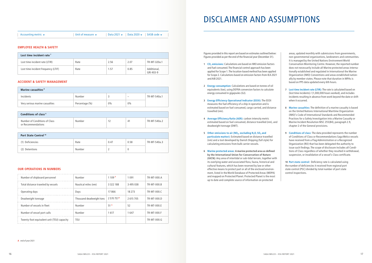**A** end of year 2021

#### **EMPLOYEE HEALTH & SAFETY**

| Lost time incident rate <sup>7</sup> |      |      |      |                          |
|--------------------------------------|------|------|------|--------------------------|
| Lost time incident rate (LTIR)       | Rate | 2.56 | 2.07 | TR-MT-320a.1             |
| Lost time incident frequency (LTIF)  | Rate | .57  | 0.85 | Additional,<br>GRI 403-9 |

#### **ACCIDENT & SAFETY MANAGEMENT**

| Marine casualties <sup>8</sup> |                |       |                          |              |
|--------------------------------|----------------|-------|--------------------------|--------------|
| Incidents                      | Number         |       | $\overline{\phantom{a}}$ | TR-MT-540a.1 |
| Very serious marine casualties | Percentage (%) | $0\%$ | $0\%$                    |              |

| Conditions of class <sup>9</sup>                    |        |    |              |
|-----------------------------------------------------|--------|----|--------------|
| Number of Conditions of Class<br>or Recommendations | Number | 41 | TR-MT-540a.2 |

| Port State Control <sup>10</sup> |        |      |      |              |
|----------------------------------|--------|------|------|--------------|
| (1) Deficiencies                 | Rate   | 0.47 | 0.58 | TR-MT-540a.3 |
| (2) Detentions                   | Number |      |      |              |

#### **OUR OPERATIONS IN NUMBERS**

| Number of shipboard personnel              | Number                   | 1109 <sup>A</sup> | 1 0 9 1   | TR-MT-000.A |
|--------------------------------------------|--------------------------|-------------------|-----------|-------------|
| Total distance traveled by vessels         | Nautical miles (nm)      | 3 322 188         | 3495038   | TR-MT-000.B |
| Operating days                             | Days                     | 17866             | 18 2 7 3  | TR-MT-000.C |
| Deadweight tonnage                         | Thousand deadweight tons | 2570757A          | 2 615 705 | TR-MT-000.D |
| Number of vessels in fleet                 | Number                   | 51 <sup>A</sup>   | 52        | TR-MT-000.E |
| Number of vessel port calls                | Number                   | 617               | 1647      | TR-MT-000.F |
| Twenty-foot equivalent unit (TEU) capacity | TEU                      |                   |           | TR-MT-000.G |

Figures provided in this report are based on estimates outlined below:

Figures provided as per the end of the financial year (December 31).

- 1 **CO<sub>2</sub>** emissions: Calculations are based on IMO emission factors and fuel consumed. The financial control approach has been applied for Scope 1. The location-based method has been applied for Scope 2. Calculations based on emission factors from IEA 2021 and AIB 2021.
- **2 Energy consumption:** Calculations are based on tonnes of oil equivalents (toe), using DEFRA conversion factors to calculate energy consumed in gigajoules (GJ).
- **3 Energy Efficiency Operational Indicator (EEOI):** The EEOI measures the fuel efficiency of a ship in operation and is estimated based on fuel consumed, cargo carried, and distance travelled (nm).
- **4 Average Efficiency Ratio (AER):** carbon intensity metric estimated based on fuel consumed, distance travelled (nm), and deadweight tonnage (DWT).
- **5 Other emissions to air (NO<sub>X</sub>, excluding N<sub>2</sub>O, SO<sub>X</sub> and particulate matter):** Estimated based on distance travelled (nm) and a tool developed by Danish Shipping (full style) for calculating emissions from bulk carrier vessels.
- **6 Marine protected areas: A marine protected area as defined by the International Union for Conservation of Nature (IUCN):** Any area of intertidal or sub-tidal terrain, together with its overlying water and associated flora, fauna, historical and cultural features, which has been reserved by law or other effective means to protect part or all of the enclosed environment, listed in the World Database of Protected Areas (WDPA) and mapped on Protected Planet. Protected Planet is the most up to date and complete source of information on protected

areas, updated monthly with submissions from governments, non-governmental organizations, landowners and communities. It is managed by the United Nations Environment World Conservation Monitoring Centre. However, the reported number does not necessarily include all Marine protected areas internationally established and regulated in International the Marine Organization (IMO) Conventions and areas established nationally by member states. Please note that duration in MPAs is based on PPS data updated every 6th hours.

- **7 Lost time incident rate (LTIR):** The rate is calculated based on (lost time incidents) / (1,000,000 hours worked), and includes incidents resulting in absence from work beyond the date or shift when it occurred.
- **8 Marine casualties:** The definition of a marine casualty is based on the United Nations International Maritime Organization (IMO)'s Code of International Standards and Recommended Practices for a Safety Investigation into a Marine Casualty or Marine Incident Resolution MSC 255(84), paragraph 2.9, chapter 2 of the General provisions.
- **9 Conditions of class:** The data provided represents the number of Conditions of Class or Recommendations Saga Welco vessels have received from a Flag Administration or a Recognized Organization (RO) that has been delegated the authority to issue such findings. The scope of disclosure includes all Conditions of Class regardless of whether they resulted in withdrawal, suspension, or invalidation of a vessel's Class certificate.

**10 Port state control:** Deficiency rate is calculated using the number of deficiencies it received from regional port state control (PSC) divided by total number of port state control inspections.

### DISCLAIMER AND ASSUMPTIONS

Accounting metric  $\rightarrow$  Unit of measure  $\rightarrow$  Data 2021  $\rightarrow$  Data 2020  $\rightarrow$  SASB code  $\rightarrow$